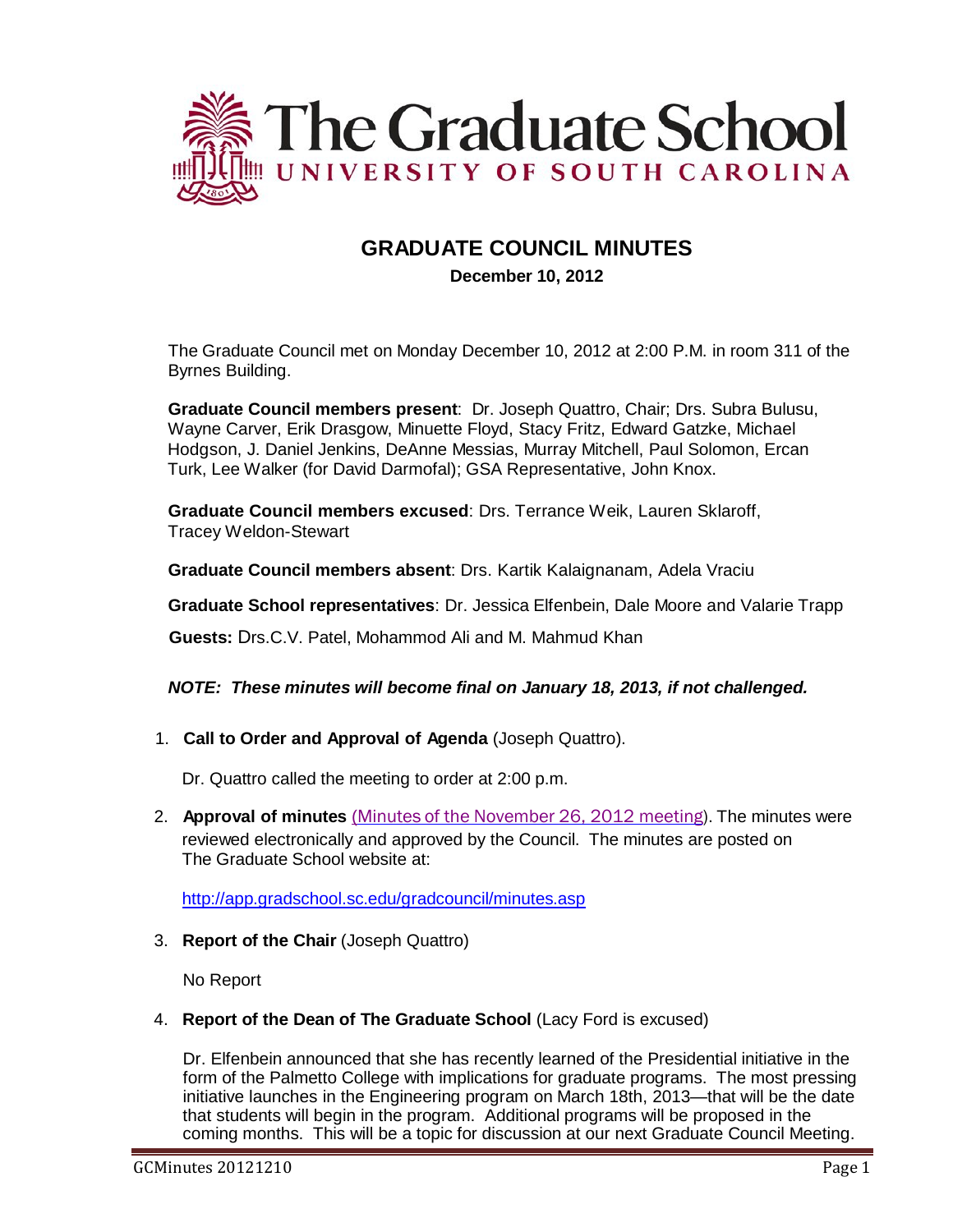

# **GRADUATE COUNCIL MINUTES**

# **December 10, 2012**

The Graduate Council met on Monday December 10, 2012 at 2:00 P.M. in room 311 of the Byrnes Building.

**Graduate Council members present**: Dr. Joseph Quattro, Chair; Drs. Subra Bulusu, Wayne Carver, Erik Drasgow, Minuette Floyd, Stacy Fritz, Edward Gatzke, Michael Hodgson, J. Daniel Jenkins, DeAnne Messias, Murray Mitchell, Paul Solomon, Ercan Turk, Lee Walker (for David Darmofal); GSA Representative, John Knox.

**Graduate Council members excused**: Drs. Terrance Weik, Lauren Sklaroff, Tracey Weldon-Stewart

**Graduate Council members absent**: Drs. Kartik Kalaignanam, Adela Vraciu

**Graduate School representatives**: Dr. Jessica Elfenbein, Dale Moore and Valarie Trapp

**Guests:** Drs.C.V. Patel, Mohammod Ali and M. Mahmud Khan

# *NOTE: These minutes will become final on January 18, 2013, if not challenged.*

1. **Call to Order and Approval of Agenda** (Joseph Quattro).

Dr. Quattro called the meeting to order at 2:00 p.m.

2. **Approval of minutes** (Minutes of the [November](http://gradschool.sc.edu/facstaff/gradcouncil/2012/GCMinutes20121126.pdf) 26, 2012 meeting). The minutes were reviewed electronically and approved by the Council. The minutes are posted on The Graduate School website at:

<http://app.gradschool.sc.edu/gradcouncil/minutes.asp>

3. **Report of the Chair** (Joseph Quattro)

No Report

4. **Report of the Dean of The Graduate School** (Lacy Ford is excused)

Dr. Elfenbein announced that she has recently learned of the Presidential initiative in the form of the Palmetto College with implications for graduate programs. The most pressing initiative launches in the Engineering program on March 18th, 2013—that will be the date that students will begin in the program. Additional programs will be proposed in the coming months. This will be a topic for discussion at our next Graduate Council Meeting.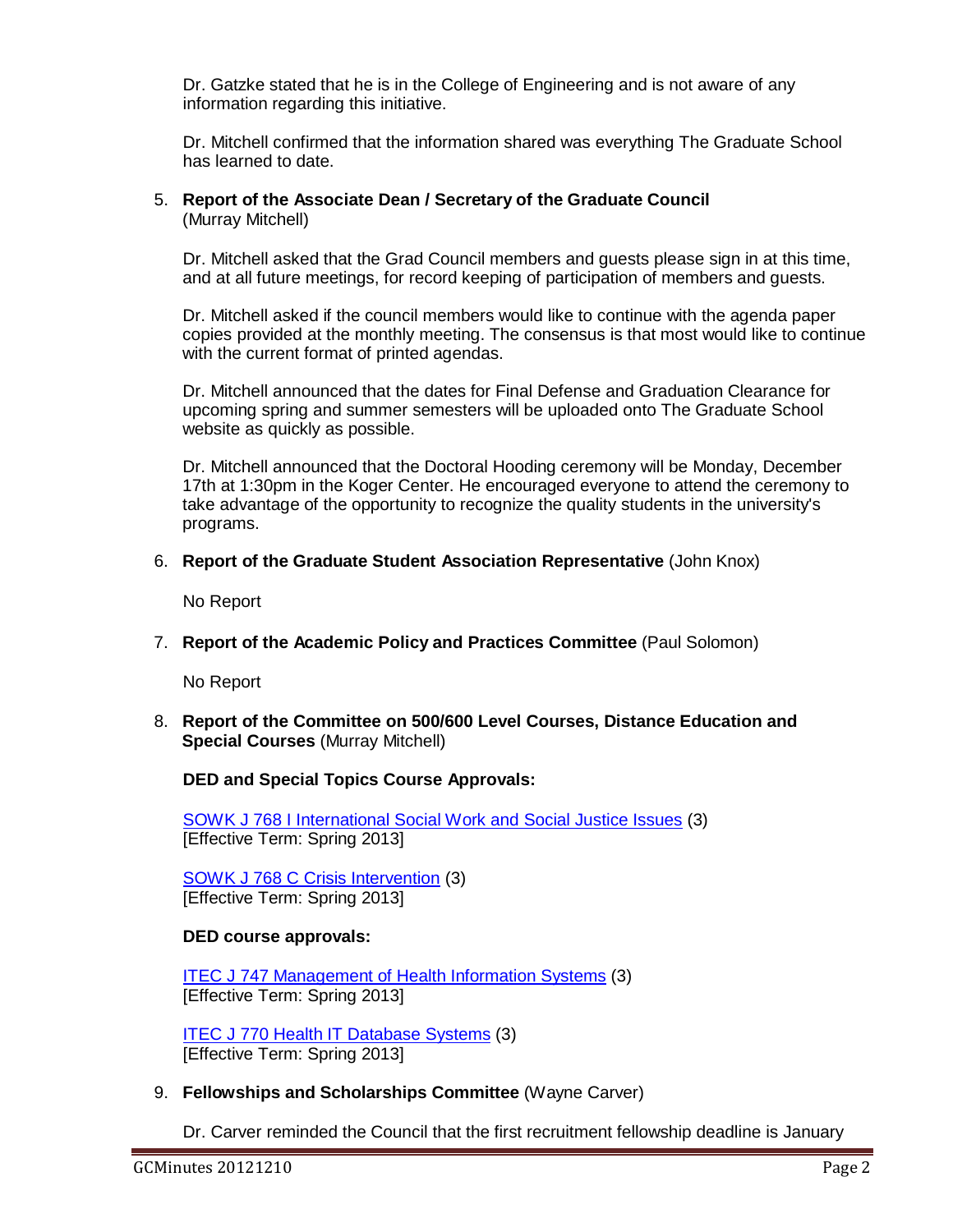Dr. Gatzke stated that he is in the College of Engineering and is not aware of any information regarding this initiative.

Dr. Mitchell confirmed that the information shared was everything The Graduate School has learned to date.

# 5. **Report of the Associate Dean / Secretary of the Graduate Council** (Murray Mitchell)

Dr. Mitchell asked that the Grad Council members and guests please sign in at this time, and at all future meetings, for record keeping of participation of members and guests.

Dr. Mitchell asked if the council members would like to continue with the agenda paper copies provided at the monthly meeting. The consensus is that most would like to continue with the current format of printed agendas.

Dr. Mitchell announced that the dates for Final Defense and Graduation Clearance for upcoming spring and summer semesters will be uploaded onto The Graduate School website as quickly as possible.

Dr. Mitchell announced that the Doctoral Hooding ceremony will be Monday, December 17th at 1:30pm in the Koger Center. He encouraged everyone to attend the ceremony to take advantage of the opportunity to recognize the quality students in the university's programs.

# 6. **Report of the Graduate Student Association Representative** (John Knox)

No Report

7. **Report of the Academic Policy and Practices Committee** (Paul Solomon)

No Report

8. **Report of the Committee on 500/600 Level Courses, Distance Education and Special Courses** (Murray Mitchell)

**DED and Special Topics Course Approvals:**

SOWK J 768 [I International Social](http://gradschool.sc.edu/facstaff/gradcouncil/2012/SOWK%20J%20768%20I%20International%20Social%20Work%20and%20Social%20Justice%20Issues%20STC%20DED_Redacted.pdf) Work and Social Justice Issues (3) [Effective Term: Spring 2013]

SOWK J 768 C Crisis [Intervention](http://gradschool.sc.edu/facstaff/gradcouncil/2012/SOWK%20J%20768%20C%20Crisis%20Intervention%20STC%20DED_Redacted.pdf) (3) [Effective Term: Spring 2013]

# **DED course approvals:**

ITEC J 747 [Management of](http://gradschool.sc.edu/facstaff/gradcouncil/2012/DEDITEC747_201241_Redacted.pdf) Health Information Systems (3) [Effective Term: Spring 2013]

ITEC J 770 Health IT [Database](http://gradschool.sc.edu/facstaff/gradcouncil/2012/DEDITEC770_201241_Redacted.pdf) Systems (3) [Effective Term: Spring 2013]

9. **Fellowships and Scholarships Committee** (Wayne Carver)

Dr. Carver reminded the Council that the first recruitment fellowship deadline is January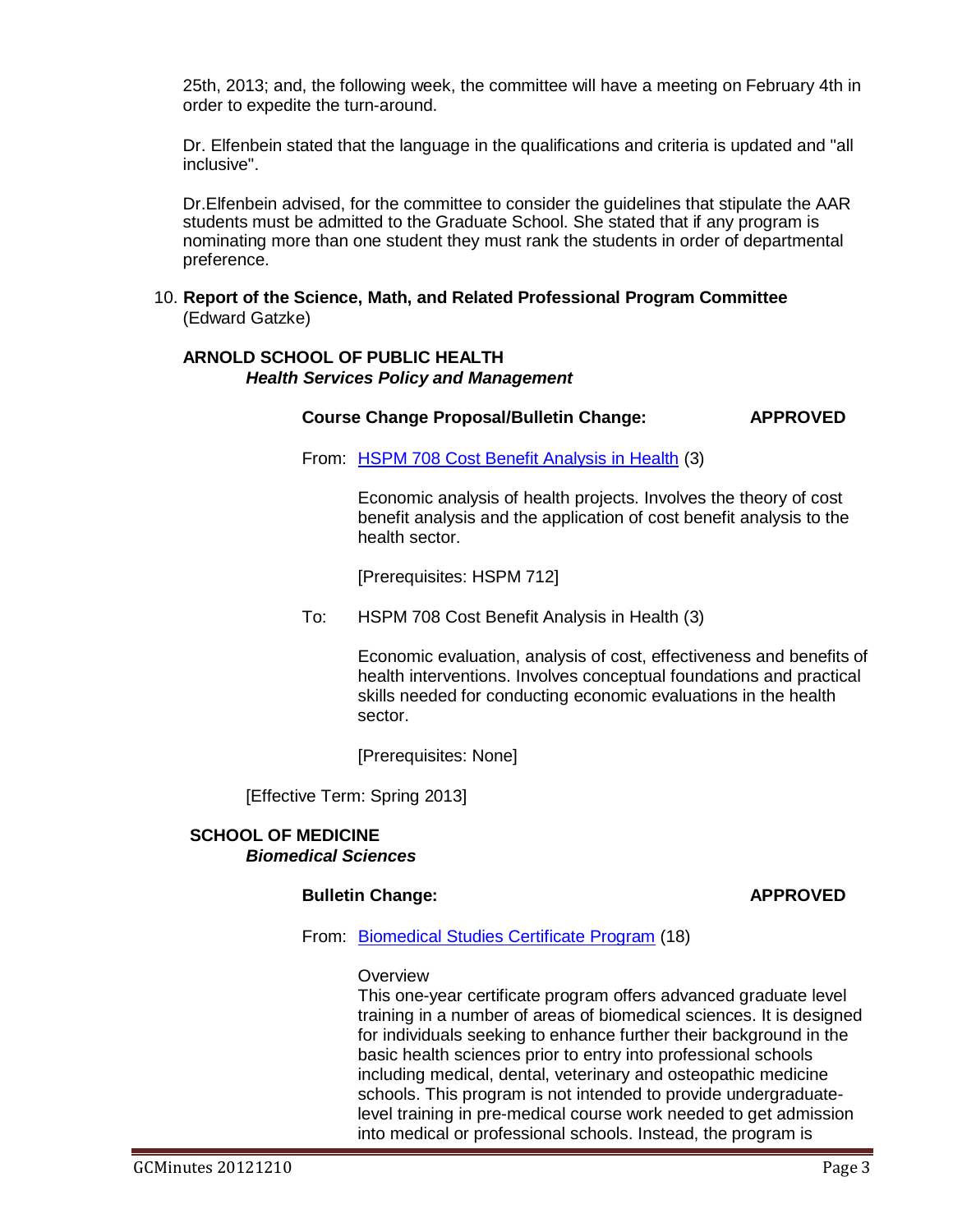25th, 2013; and, the following week, the committee will have a meeting on February 4th in order to expedite the turn-around.

Dr. Elfenbein stated that the language in the qualifications and criteria is updated and "all inclusive".

Dr.Elfenbein advised, for the committee to consider the guidelines that stipulate the AAR students must be admitted to the Graduate School. She stated that if any program is nominating more than one student they must rank the students in order of departmental preference.

### 10. **Report of the Science, Math, and Related Professional Program Committee** (Edward Gatzke)

# **ARNOLD SCHOOL OF PUBLIC HEALTH** *Health Services Policy and Management*

# **Course Change Proposal/Bulletin Change: APPROVED**

From: HSPM 708 Cost [Benefit Analysis](http://gradschool.sc.edu/facstaff/gradcouncil/2012/HSPM%20708%20Cost%20Benefit%20Analysis%20in%20Health%20CCP%2020121121_Redacted.pdf) in Health (3)

Economic analysis of health projects. Involves the theory of cost benefit analysis and the application of cost benefit analysis to the health sector.

[Prerequisites: HSPM 712]

To: HSPM 708 Cost Benefit Analysis in Health (3)

Economic evaluation, analysis of cost, effectiveness and benefits of health interventions. Involves conceptual foundations and practical skills needed for conducting economic evaluations in the health sector.

[Prerequisites: None]

[Effective Term: Spring 2013]

# **SCHOOL OF MEDICINE** *Biomedical Sciences*

# **Bulletin Change: APPROVED**

From: [Biomedical Studies](http://gradschool.sc.edu/facstaff/gradcouncil/2012/School%20of%20Medicine%20Biomedical%20Sciences%20BCH_Redacted.pdf) Certificate Program (18)

### **Overview**

This one-year certificate program offers advanced graduate level training in a number of areas of biomedical sciences. It is designed for individuals seeking to enhance further their background in the basic health sciences prior to entry into professional schools including medical, dental, veterinary and osteopathic medicine schools. This program is not intended to provide undergraduatelevel training in pre-medical course work needed to get admission into medical or professional schools. Instead, the program is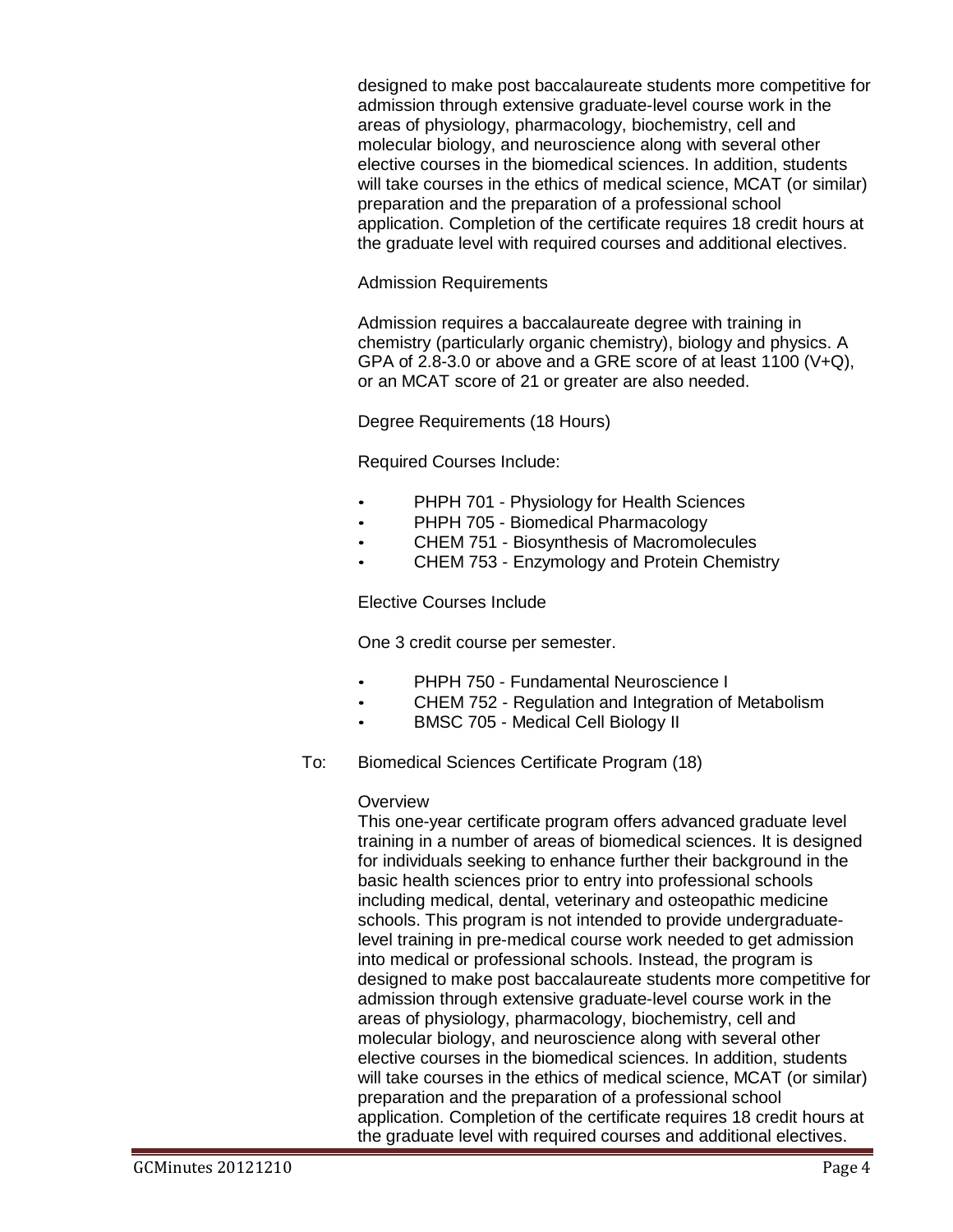designed to make post baccalaureate students more competitive for admission through extensive graduate-level course work in the areas of physiology, pharmacology, biochemistry, cell and molecular biology, and neuroscience along with several other elective courses in the biomedical sciences. In addition, students will take courses in the ethics of medical science, MCAT (or similar) preparation and the preparation of a professional school application. Completion of the certificate requires 18 credit hours at the graduate level with required courses and additional electives.

### Admission Requirements

Admission requires a baccalaureate degree with training in chemistry (particularly organic chemistry), biology and physics. A GPA of 2.8-3.0 or above and a GRE score of at least 1100 (V+Q), or an MCAT score of 21 or greater are also needed.

Degree Requirements (18 Hours)

Required Courses Include:

- PHPH 701 [Physiology](http://bulletin.sc.edu/preview_course_nopop.php?catoid=35&coid=76625) for Health Sciences
- PHPH 705 Biomedical [Pharmacology](http://bulletin.sc.edu/preview_course_nopop.php?catoid=35&coid=76627)
- CHEM 751 Biosynthesis of [Macromolecules](http://bulletin.sc.edu/preview_course_nopop.php?catoid=35&coid=71590)
- CHEM 753 [Enzymology](http://bulletin.sc.edu/preview_course_nopop.php?catoid=35&coid=71592) and Protein Chemistry

Elective Courses Include

One 3 credit course per semester.

- PHPH 750 [Fundamental Neuroscience](http://bulletin.sc.edu/preview_course_nopop.php?catoid=35&coid=76637) I
- CHEM 752 Regulation and Integration of [Metabolism](http://bulletin.sc.edu/preview_course_nopop.php?catoid=35&coid=71591)
- BMSC 705 [Medical Cell Biology](http://bulletin.sc.edu/preview_course_nopop.php?catoid=35&coid=71473) II
- To: Biomedical Sciences Certificate Program (18)

### **Overview**

This one-year certificate program offers advanced graduate level training in a number of areas of biomedical sciences. It is designed for individuals seeking to enhance further their background in the basic health sciences prior to entry into professional schools including medical, dental, veterinary and osteopathic medicine schools. This program is not intended to provide undergraduatelevel training in pre-medical course work needed to get admission into medical or professional schools. Instead, the program is designed to make post baccalaureate students more competitive for admission through extensive graduate-level course work in the areas of physiology, pharmacology, biochemistry, cell and molecular biology, and neuroscience along with several other elective courses in the biomedical sciences. In addition, students will take courses in the ethics of medical science, MCAT (or similar) preparation and the preparation of a professional school application. Completion of the certificate requires 18 credit hours at the graduate level with required courses and additional electives.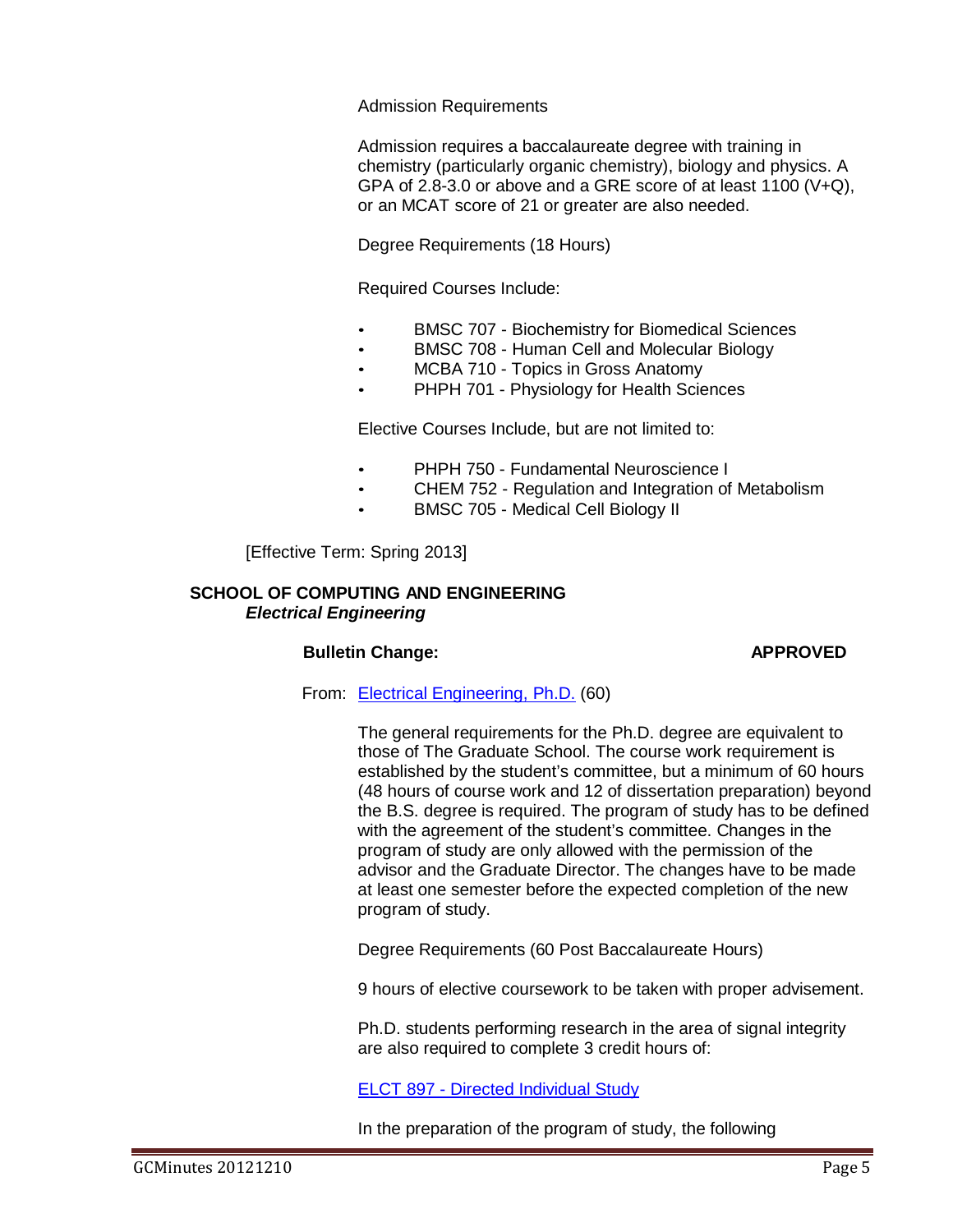# Admission Requirements

Admission requires a baccalaureate degree with training in chemistry (particularly organic chemistry), biology and physics. A GPA of 2.8-3.0 or above and a GRE score of at least 1100 (V+Q), or an MCAT score of 21 or greater are also needed.

Degree Requirements (18 Hours)

Required Courses Include:

- [BMSC](http://bulletin.sc.edu/preview_course_nopop.php?catoid=35&coid=76625) 707 Biochemistry for Biomedical Sciences
- [BMSC](http://bulletin.sc.edu/preview_course_nopop.php?catoid=35&coid=76627) 708 Human Cell and Molecular Biology
- MCBA 710 Topics in Gross Anatomy
- [PHPH](http://bulletin.sc.edu/preview_course_nopop.php?catoid=35&coid=71592) 701 Physiology for Health Sciences

Elective Courses Include, but are not limited to:

- PHPH 750 [Fundamental Neuroscience](http://bulletin.sc.edu/preview_course_nopop.php?catoid=35&coid=76637) I
- CHEM 752 Regulation and Integration of [Metabolism](http://bulletin.sc.edu/preview_course_nopop.php?catoid=35&coid=71591)
- BMSC 705 [Medical Cell Biology](http://bulletin.sc.edu/preview_course_nopop.php?catoid=35&coid=71473) II

[Effective Term: Spring 2013]

### **SCHOOL OF COMPUTING AND ENGINEERING** *Electrical Engineering*

# **Bulletin Change: APPROVED**

From: [Electrical Engineering,](http://gradschool.sc.edu/facstaff/gradcouncil/2012/11%206%2012%20EE%20Bulletin%20Change%20Form_Redacted.pdf) Ph.D. (60)

The general requirements for the Ph.D. degree are equivalent to those of The Graduate School. The course work requirement is established by the student's committee, but a minimum of 60 hours (48 hours of course work and 12 of dissertation preparation) beyond the B.S. degree is required. The program of study has to be defined with the agreement of the student's committee. Changes in the program of study are only allowed with the permission of the advisor and the Graduate Director. The changes have to be made at least one semester before the expected completion of the new program of study.

Degree Requirements (60 Post Baccalaureate Hours)

9 hours of elective coursework to be taken with proper advisement.

Ph.D. students performing research in the area of signal integrity are also required to complete 3 credit hours of:

ELCT 897 - Directed [Individual Study](http://bulletin.sc.edu/preview_course_nopop.php?catoid=35&coid=73140)

In the preparation of the program of study, the following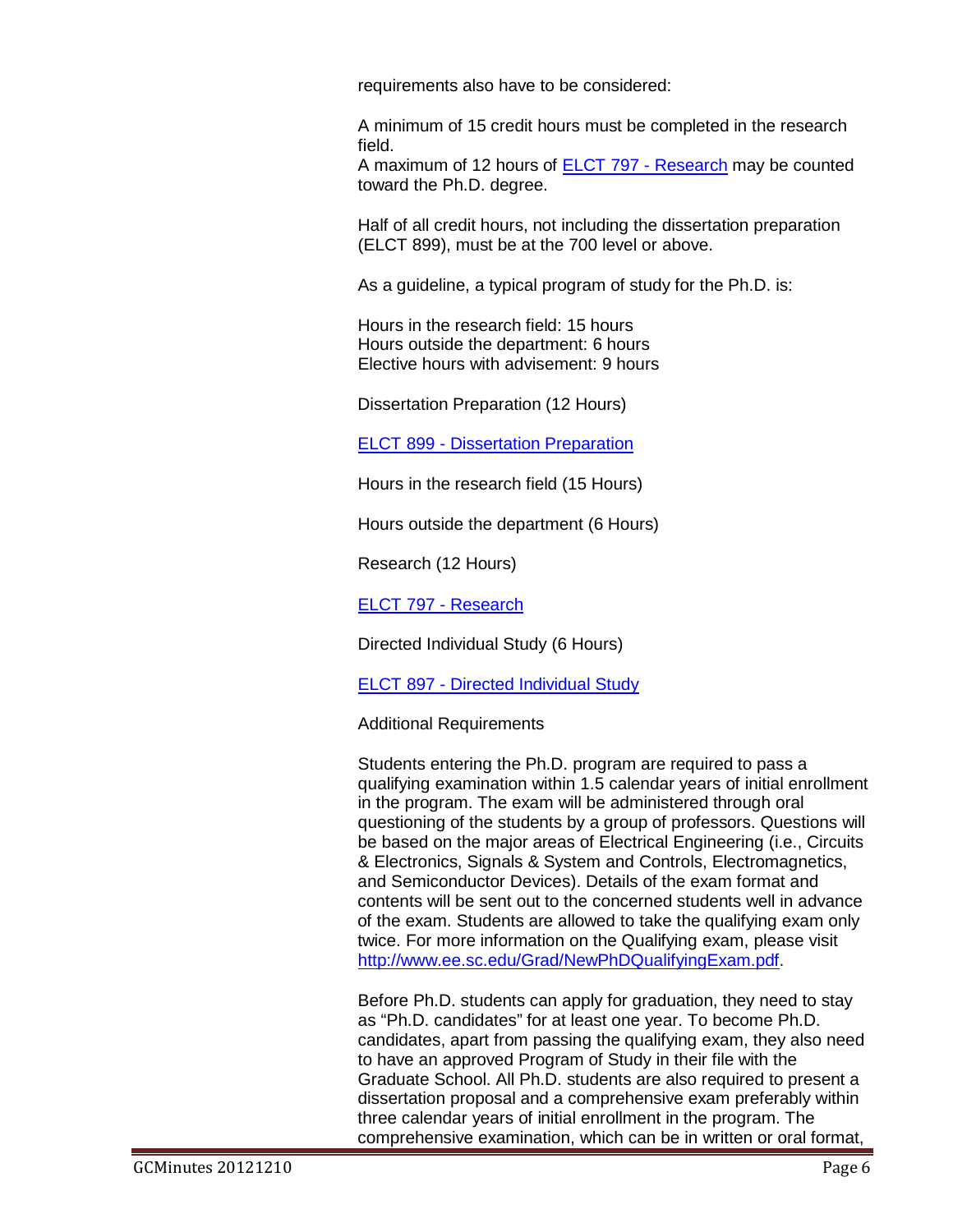requirements also have to be considered:

A minimum of 15 credit hours must be completed in the research field.

A maximum of 12 hours of ELCT 797 - [Research](http://bulletin.sc.edu/preview_course_nopop.php?catoid=9&coid=51503) may be counted toward the Ph.D. degree.

Half of all credit hours, not including the dissertation preparation (ELCT 899), must be at the 700 level or above.

As a guideline, a typical program of study for the Ph.D. is:

Hours in the research field: 15 hours Hours outside the department: 6 hours Elective hours with advisement: 9 hours

Dissertation Preparation (12 Hours)

ELCT 899 - [Dissertation](http://bulletin.sc.edu/preview_course_nopop.php?catoid=35&coid=73141) Preparation

Hours in the research field (15 Hours)

Hours outside the department (6 Hours)

Research (12 Hours)

ELCT 797 - [Research](http://bulletin.sc.edu/preview_course_nopop.php?catoid=35&coid=73120)

Directed Individual Study (6 Hours)

**ELCT 897 - Directed [Individual Study](http://bulletin.sc.edu/preview_course_nopop.php?catoid=35&coid=73140)** 

Additional Requirements

Students entering the Ph.D. program are required to pass a qualifying examination within 1.5 calendar years of initial enrollment in the program. The exam will be administered through oral questioning of the students by a group of professors. Questions will be based on the major areas of Electrical Engineering (i.e., Circuits & Electronics, Signals & System and Controls, Electromagnetics, and Semiconductor Devices). Details of the exam format and contents will be sent out to the concerned students well in advance of the exam. Students are allowed to take the qualifying exam only twice. For more information on the Qualifying exam, please visit [http://www.ee.sc.edu/Grad/NewPhDQualifyingExam.pdf.](http://www.ee.sc.edu/Grad/NewPhDQualifyingExam.pdf)

Before Ph.D. students can apply for graduation, they need to stay as "Ph.D. candidates" for at least one year. To become Ph.D. candidates, apart from passing the qualifying exam, they also need to have an approved Program of Study in their file with the Graduate School. All Ph.D. students are also required to present a dissertation proposal and a comprehensive exam preferably within three calendar years of initial enrollment in the program. The comprehensive examination, which can be in written or oral format,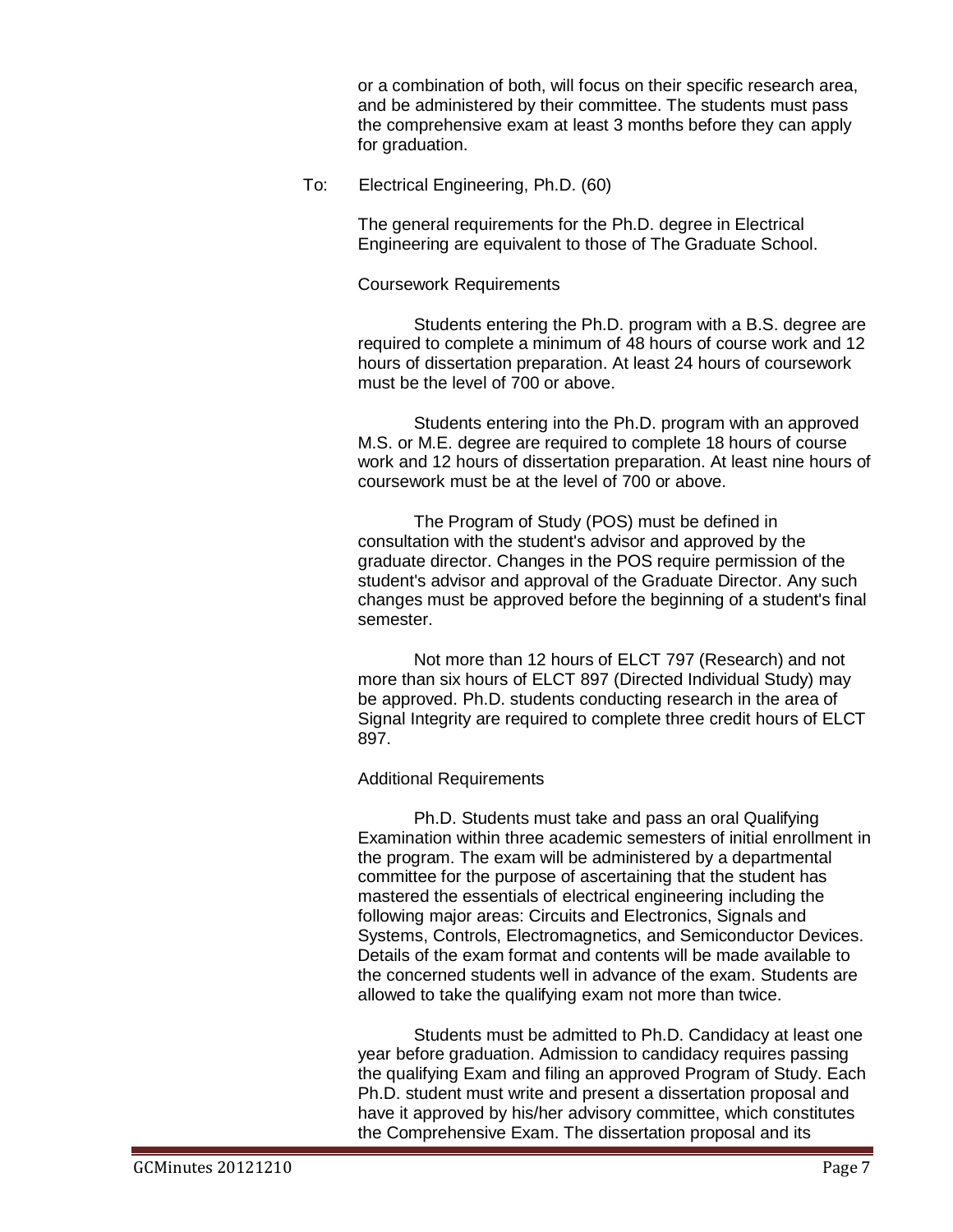or a combination of both, will focus on their specific research area, and be administered by their committee. The students must pass the comprehensive exam at least 3 months before they can apply for graduation.

To: Electrical Engineering, Ph.D. (60)

The general requirements for the Ph.D. degree in Electrical Engineering are equivalent to those of The Graduate School.

# Coursework Requirements

Students entering the Ph.D. program with a B.S. degree are required to complete a minimum of 48 hours of course work and 12 hours of dissertation preparation. At least 24 hours of coursework must be the level of 700 or above.

Students entering into the Ph.D. program with an approved M.S. or M.E. degree are required to complete 18 hours of course work and 12 hours of dissertation preparation. At least nine hours of coursework must be at the level of 700 or above.

The Program of Study (POS) must be defined in consultation with the student's advisor and approved by the graduate director. Changes in the POS require permission of the student's advisor and approval of the Graduate Director. Any such changes must be approved before the beginning of a student's final semester.

Not more than 12 hours of ELCT 797 (Research) and not more than six hours of ELCT 897 (Directed Individual Study) may be approved. Ph.D. students conducting research in the area of Signal Integrity are required to complete three credit hours of ELCT 897.

# Additional Requirements

Ph.D. Students must take and pass an oral Qualifying Examination within three academic semesters of initial enrollment in the program. The exam will be administered by a departmental committee for the purpose of ascertaining that the student has mastered the essentials of electrical engineering including the following major areas: Circuits and Electronics, Signals and Systems, Controls, Electromagnetics, and Semiconductor Devices. Details of the exam format and contents will be made available to the concerned students well in advance of the exam. Students are allowed to take the qualifying exam not more than twice.

Students must be admitted to Ph.D. Candidacy at least one year before graduation. Admission to candidacy requires passing the qualifying Exam and filing an approved Program of Study. Each Ph.D. student must write and present a dissertation proposal and have it approved by his/her advisory committee, which constitutes the Comprehensive Exam. The dissertation proposal and its